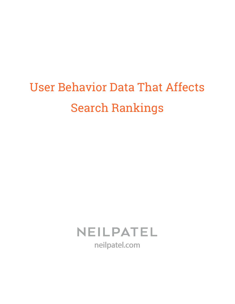# User Behavior Data That Affects Search Rankings

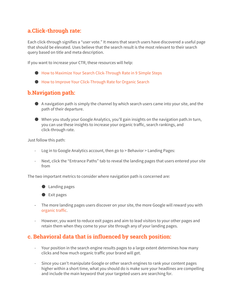### **a.Click-through rate:**

Each click-through signifies a "user vote." It means that search users have discovered a useful page that should be elevated. Uses believe that the search result is the most relevant to their search query based on title and meta description.

If you want to increase your CTR, these resources will help:

- [●](http://neilpatel.com/2015/07/09/how-to-maximize-your-search-click-through-rate-in-9-simple-steps/) How to Maximize Your Search [Click-Through](http://neilpatel.com/2015/07/09/how-to-maximize-your-search-click-through-rate-in-9-simple-steps/) Rate in 9 Simple Steps
- How to Improve Your [Click-Through](http://www.pinpuff.com/improve-ctr/) Rate for Organic Search

#### **b.Navigation path:**

- A navigation path is simply the channel by which search users came into your site, and the path of their departure.
- $\bullet$  When you study your Google Analytics, you'll gain insights on the navigation path. In turn, you can use these insights to increase your organic traffic, search rankings, and click-through rate.

Just follow this path:

- Log in to Google Analytics account, then go to > Behavior > Landing Pages:
- Next, click the "Entrance Paths" tab to reveal the landing pages that users entered your site from

The two important metrics to consider where navigation path is concerned are:

- Landing pages
- Exit pages
- The more landing pages users discover on your site, the more Google will reward you with [organic](http://neilpatel.com/2015/08/18/the-definitive-strategy-for-driving-organic-traffic-without-ranking-in-googles-top-10/) traffic.
- However, you want to reduce exit pages and aim to lead visitors to your other pages and retain them when they come to your site through any of your landing pages.

#### **c. Behavioral data that is influenced by search position:**

- Your position in the search engine results pages to a large extent determines how many clicks and how much organic traffic your brand will get.
- Since you can't manipulate Google or other search engines to rank your content pages higher within a short time, what you should do is make sure your headlines are compelling and include the main keyword that your targeted users are searching for.